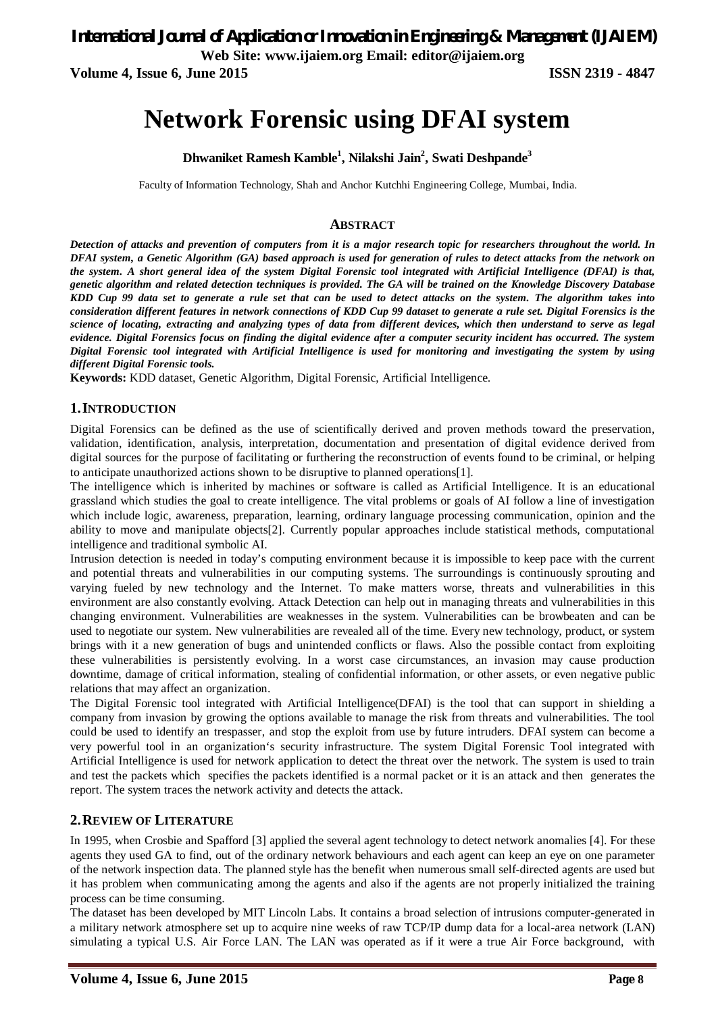**Volume 4, Issue 6, June 2015 ISSN 2319 - 4847**

# **Network Forensic using DFAI system**

**Dhwaniket Ramesh Kamble<sup>1</sup> , Nilakshi Jain<sup>2</sup> , Swati Deshpande<sup>3</sup>**

Faculty of Information Technology, Shah and Anchor Kutchhi Engineering College, Mumbai, India.

#### **ABSTRACT**

*Detection of attacks and prevention of computers from it is a major research topic for researchers throughout the world. In DFAI system, a Genetic Algorithm (GA) based approach is used for generation of rules to detect attacks from the network on the system. A short general idea of the system Digital Forensic tool integrated with Artificial Intelligence (DFAI) is that, genetic algorithm and related detection techniques is provided. The GA will be trained on the Knowledge Discovery Database KDD Cup 99 data set to generate a rule set that can be used to detect attacks on the system. The algorithm takes into consideration different features in network connections of KDD Cup 99 dataset to generate a rule set. Digital Forensics is the science of locating, extracting and analyzing types of data from different devices, which then understand to serve as legal evidence. Digital Forensics focus on finding the digital evidence after a computer security incident has occurred. The system Digital Forensic tool integrated with Artificial Intelligence is used for monitoring and investigating the system by using different Digital Forensic tools.* 

**Keywords:** KDD dataset, Genetic Algorithm, Digital Forensic, Artificial Intelligence.

#### **1.INTRODUCTION**

Digital Forensics can be defined as the use of scientifically derived and proven methods toward the preservation, validation, identification, analysis, interpretation, documentation and presentation of digital evidence derived from digital sources for the purpose of facilitating or furthering the reconstruction of events found to be criminal, or helping to anticipate unauthorized actions shown to be disruptive to planned operations[1].

The intelligence which is inherited by machines or software is called as Artificial Intelligence. It is an educational grassland which studies the goal to create intelligence. The vital problems or goals of AI follow a line of investigation which include logic, awareness, preparation, learning, ordinary language processing communication, opinion and the ability to move and manipulate objects[2]. Currently popular approaches include statistical methods, computational intelligence and traditional symbolic AI.

Intrusion detection is needed in today's computing environment because it is impossible to keep pace with the current and potential threats and vulnerabilities in our computing systems. The surroundings is continuously sprouting and varying fueled by new technology and the Internet. To make matters worse, threats and vulnerabilities in this environment are also constantly evolving. Attack Detection can help out in managing threats and vulnerabilities in this changing environment. Vulnerabilities are weaknesses in the system. Vulnerabilities can be browbeaten and can be used to negotiate our system. New vulnerabilities are revealed all of the time. Every new technology, product, or system brings with it a new generation of bugs and unintended conflicts or flaws. Also the possible contact from exploiting these vulnerabilities is persistently evolving. In a worst case circumstances, an invasion may cause production downtime, damage of critical information, stealing of confidential information, or other assets, or even negative public relations that may affect an organization.

The Digital Forensic tool integrated with Artificial Intelligence(DFAI) is the tool that can support in shielding a company from invasion by growing the options available to manage the risk from threats and vulnerabilities. The tool could be used to identify an trespasser, and stop the exploit from use by future intruders. DFAI system can become a very powerful tool in an organization's security infrastructure. The system Digital Forensic Tool integrated with Artificial Intelligence is used for network application to detect the threat over the network. The system is used to train and test the packets which specifies the packets identified is a normal packet or it is an attack and then generates the report. The system traces the network activity and detects the attack.

#### **2.REVIEW OF LITERATURE**

In 1995, when Crosbie and Spafford [3] applied the several agent technology to detect network anomalies [4]. For these agents they used GA to find, out of the ordinary network behaviours and each agent can keep an eye on one parameter of the network inspection data. The planned style has the benefit when numerous small self-directed agents are used but it has problem when communicating among the agents and also if the agents are not properly initialized the training process can be time consuming.

The dataset has been developed by MIT Lincoln Labs. It contains a broad selection of intrusions computer-generated in a military network atmosphere set up to acquire nine weeks of raw TCP/IP dump data for a local-area network (LAN) simulating a typical U.S. Air Force LAN. The LAN was operated as if it were a true Air Force background, with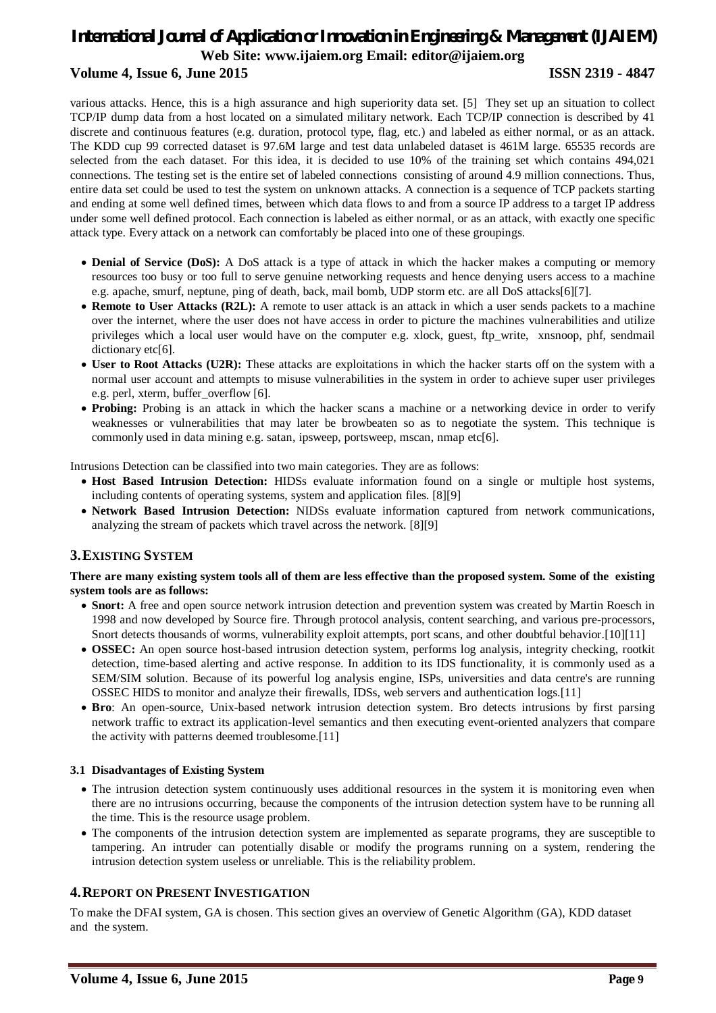# *International Journal of Application or Innovation in Engineering & Management (IJAIEM)* **Web Site: www.ijaiem.org Email: editor@ijaiem.org Volume 4, Issue 6, June 2015 ISSN 2319 - 4847**

various attacks. Hence, this is a high assurance and high superiority data set. [5] They set up an situation to collect TCP/IP dump data from a host located on a simulated military network. Each TCP/IP connection is described by 41 discrete and continuous features (e.g. duration, protocol type, flag, etc.) and labeled as either normal, or as an attack. The KDD cup 99 corrected dataset is 97.6M large and test data unlabeled dataset is 461M large. 65535 records are selected from the each dataset. For this idea, it is decided to use 10% of the training set which contains 494,021 connections. The testing set is the entire set of labeled connections consisting of around 4.9 million connections. Thus, entire data set could be used to test the system on unknown attacks. A connection is a sequence of TCP packets starting and ending at some well defined times, between which data flows to and from a source IP address to a target IP address under some well defined protocol. Each connection is labeled as either normal, or as an attack, with exactly one specific attack type. Every attack on a network can comfortably be placed into one of these groupings.

- **Denial of Service (DoS):** A DoS attack is a type of attack in which the hacker makes a computing or memory resources too busy or too full to serve genuine networking requests and hence denying users access to a machine e.g. apache, smurf, neptune, ping of death, back, mail bomb, UDP storm etc. are all DoS attacks[6][7].
- **Remote to User Attacks (R2L):** A remote to user attack is an attack in which a user sends packets to a machine over the internet, where the user does not have access in order to picture the machines vulnerabilities and utilize privileges which a local user would have on the computer e.g. xlock, guest, ftp\_write, xnsnoop, phf, sendmail dictionary etc[6].
- **User to Root Attacks (U2R):** These attacks are exploitations in which the hacker starts off on the system with a normal user account and attempts to misuse vulnerabilities in the system in order to achieve super user privileges e.g. perl, xterm, buffer\_overflow [6].
- **Probing:** Probing is an attack in which the hacker scans a machine or a networking device in order to verify weaknesses or vulnerabilities that may later be browbeaten so as to negotiate the system. This technique is commonly used in data mining e.g. satan, ipsweep, portsweep, mscan, nmap etc[6].

Intrusions Detection can be classified into two main categories. They are as follows:

- **Host Based Intrusion Detection:** HIDSs evaluate information found on a single or multiple host systems, including contents of operating systems, system and application files. [8][9]
- **Network Based Intrusion Detection:** NIDSs evaluate information captured from network communications, analyzing the stream of packets which travel across the network. [8][9]

# **3.EXISTING SYSTEM**

#### **There are many existing system tools all of them are less effective than the proposed system. Some of the existing system tools are as follows:**

- **Snort:** A free and open source network intrusion detection and prevention system was created by Martin Roesch in 1998 and now developed by Source fire. Through protocol analysis, content searching, and various pre-processors, Snort detects thousands of worms, vulnerability exploit attempts, port scans, and other doubtful behavior.[10][11]
- **OSSEC:** An open source host-based intrusion detection system, performs log analysis, integrity checking, rootkit detection, time-based alerting and active response. In addition to its IDS functionality, it is commonly used as a SEM/SIM solution. Because of its powerful log analysis engine, ISPs, universities and data centre's are running OSSEC HIDS to monitor and analyze their firewalls, IDSs, web servers and authentication logs.[11]
- **Bro**: An open-source, Unix-based network intrusion detection system. Bro detects intrusions by first parsing network traffic to extract its application-level semantics and then executing event-oriented analyzers that compare the activity with patterns deemed troublesome.[11]

#### **3.1 Disadvantages of Existing System**

- The intrusion detection system continuously uses additional resources in the system it is monitoring even when there are no intrusions occurring, because the components of the intrusion detection system have to be running all the time. This is the resource usage problem.
- The components of the intrusion detection system are implemented as separate programs, they are susceptible to tampering. An intruder can potentially disable or modify the programs running on a system, rendering the intrusion detection system useless or unreliable. This is the reliability problem.

# **4.REPORT ON PRESENT INVESTIGATION**

To make the DFAI system, GA is chosen. This section gives an overview of Genetic Algorithm (GA), KDD dataset and the system.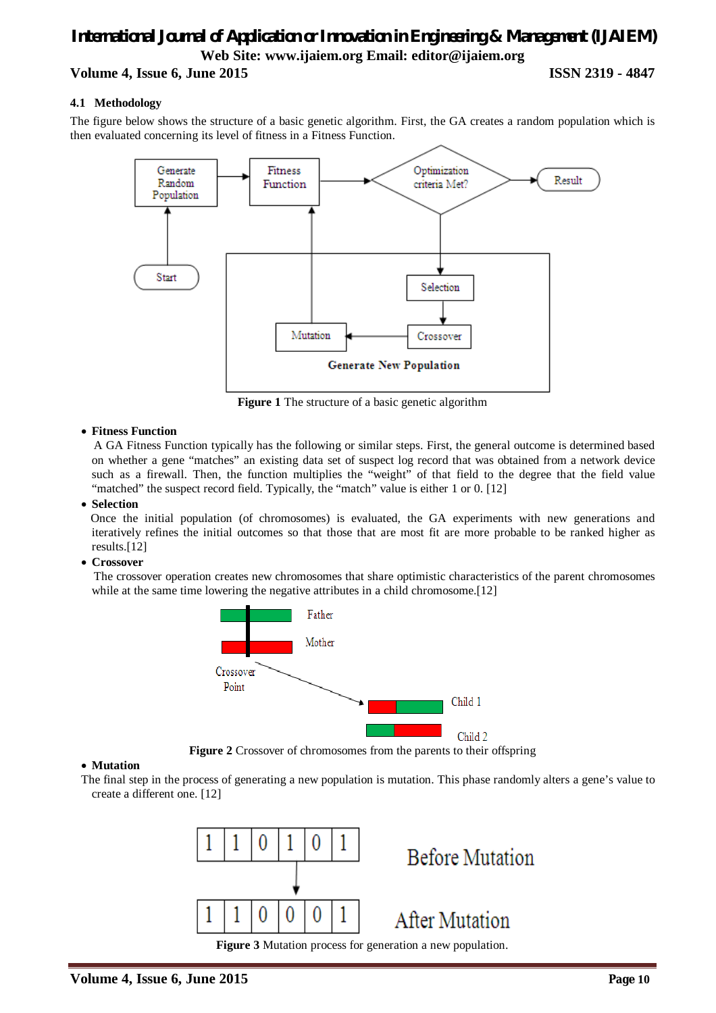# **Volume 4, Issue 6, June 2015 ISSN 2319 - 4847**

#### **4.1 Methodology**

The figure below shows the structure of a basic genetic algorithm. First, the GA creates a random population which is then evaluated concerning its level of fitness in a Fitness Function.



**Figure 1** The structure of a basic genetic algorithm

#### **Fitness Function**

 A GA Fitness Function typically has the following or similar steps. First, the general outcome is determined based on whether a gene "matches" an existing data set of suspect log record that was obtained from a network device such as a firewall. Then, the function multiplies the "weight" of that field to the degree that the field value "matched" the suspect record field. Typically, the "match" value is either 1 or 0. [12]

#### **Selection**

 Once the initial population (of chromosomes) is evaluated, the GA experiments with new generations and iteratively refines the initial outcomes so that those that are most fit are more probable to be ranked higher as results.[12]

#### **Crossover**

 The crossover operation creates new chromosomes that share optimistic characteristics of the parent chromosomes while at the same time lowering the negative attributes in a child chromosome. [12]



**Figure 2** Crossover of chromosomes from the parents to their offspring

#### **Mutation**

The final step in the process of generating a new population is mutation. This phase randomly alters a gene's value to create a different one. [12]

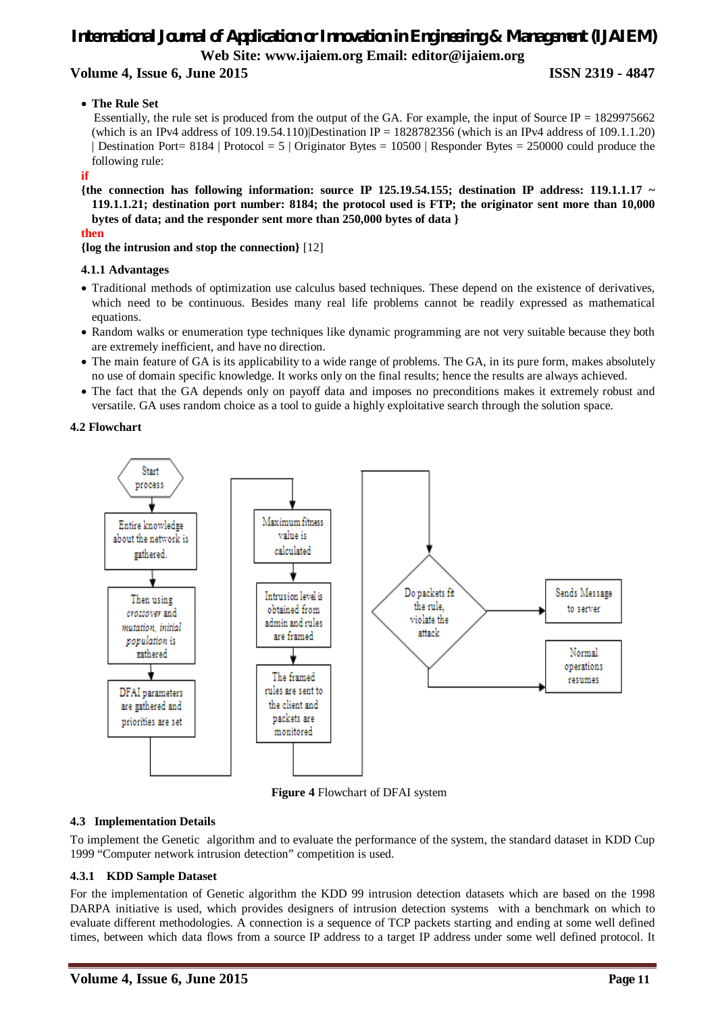# **Volume 4, Issue 6, June 2015 ISSN 2319 - 4847**

### **The Rule Set**

Essentially, the rule set is produced from the output of the GA. For example, the input of Source IP =  $1829975662$ (which is an IPv4 address of 109.19.54.110)|Destination IP = 1828782356 (which is an IPv4 address of 109.1.1.20) | Destination Port= 8184 | Protocol = 5 | Originator Bytes = 10500 | Responder Bytes = 250000 could produce the following rule:

#### **if**

**{the connection has following information: source IP 125.19.54.155; destination IP address: 119.1.1.17 ~ 119.1.1.21; destination port number: 8184; the protocol used is FTP; the originator sent more than 10,000 bytes of data; and the responder sent more than 250,000 bytes of data }** 

#### **then**

**{log the intrusion and stop the connection}** [12]

### **4.1.1 Advantages**

- Traditional methods of optimization use calculus based techniques. These depend on the existence of derivatives, which need to be continuous. Besides many real life problems cannot be readily expressed as mathematical equations.
- Random walks or enumeration type techniques like dynamic programming are not very suitable because they both are extremely inefficient, and have no direction.
- The main feature of GA is its applicability to a wide range of problems. The GA, in its pure form, makes absolutely no use of domain specific knowledge. It works only on the final results; hence the results are always achieved.
- The fact that the GA depends only on payoff data and imposes no preconditions makes it extremely robust and versatile. GA uses random choice as a tool to guide a highly exploitative search through the solution space.

### **4.2 Flowchart**



**Figure 4** Flowchart of DFAI system

# **4.3 Implementation Details**

To implement the Genetic algorithm and to evaluate the performance of the system, the standard dataset in KDD Cup 1999 "Computer network intrusion detection" competition is used.

# **4.3.1 KDD Sample Dataset**

For the implementation of Genetic algorithm the KDD 99 intrusion detection datasets which are based on the 1998 DARPA initiative is used, which provides designers of intrusion detection systems with a benchmark on which to evaluate different methodologies. A connection is a sequence of TCP packets starting and ending at some well defined times, between which data flows from a source IP address to a target IP address under some well defined protocol. It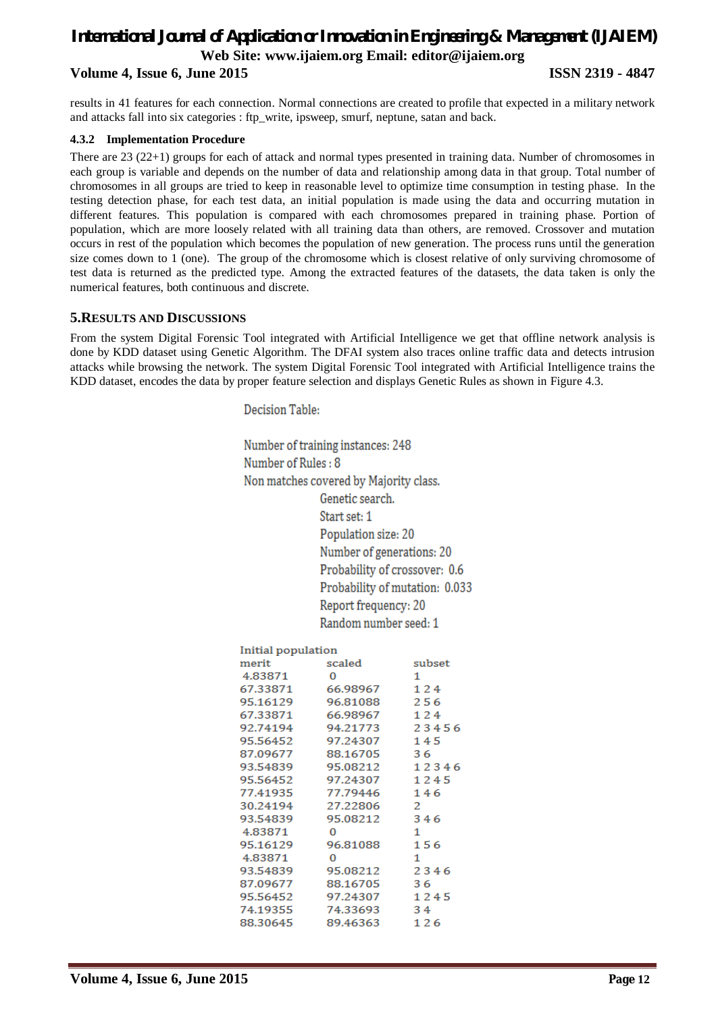# *International Journal of Application or Innovation in Engineering & Management (IJAIEM)* **Web Site: www.ijaiem.org Email: editor@ijaiem.org Volume 4, Issue 6, June 2015 ISSN 2319 - 4847**

results in 41 features for each connection. Normal connections are created to profile that expected in a military network and attacks fall into six categories : ftp\_write, ipsweep, smurf, neptune, satan and back.

#### **4.3.2 Implementation Procedure**

There are 23 (22+1) groups for each of attack and normal types presented in training data. Number of chromosomes in each group is variable and depends on the number of data and relationship among data in that group. Total number of chromosomes in all groups are tried to keep in reasonable level to optimize time consumption in testing phase. In the testing detection phase, for each test data, an initial population is made using the data and occurring mutation in different features. This population is compared with each chromosomes prepared in training phase. Portion of population, which are more loosely related with all training data than others, are removed. Crossover and mutation occurs in rest of the population which becomes the population of new generation. The process runs until the generation size comes down to 1 (one). The group of the chromosome which is closest relative of only surviving chromosome of test data is returned as the predicted type. Among the extracted features of the datasets, the data taken is only the numerical features, both continuous and discrete.

#### **5.RESULTS AND DISCUSSIONS**

From the system Digital Forensic Tool integrated with Artificial Intelligence we get that offline network analysis is done by KDD dataset using Genetic Algorithm. The DFAI system also traces online traffic data and detects intrusion attacks while browsing the network. The system Digital Forensic Tool integrated with Artificial Intelligence trains the KDD dataset, encodes the data by proper feature selection and displays Genetic Rules as shown in Figure 4.3.

Decision Table:

Number of training instances: 248 Number of Rules: 8 Non matches covered by Majority class. Genetic search. Start set: 1 Population size: 20 Number of generations: 20 Probability of crossover: 0.6 Probability of mutation: 0.033 Report frequency: 20 Random number seed: 1

| Initial population |          |        |
|--------------------|----------|--------|
| merit              | scaled   | subset |
| 4.83871            | $\Omega$ | 1      |
| 67.33871           | 66.98967 | 124    |
| 95.16129           | 96.81088 | 256    |
| 67.33871           | 66.98967 | 124    |
| 92.74194           | 94.21773 | 23456  |
| 95.56452           | 97.24307 | 145    |
| 87.09677           | 88.16705 | 36     |
| 93.54839           | 95.08212 | 12346  |
| 95.56452           | 97.24307 | 1245   |
| 77.41935           | 77.79446 | 146    |
| 30.24194           | 27.22806 | 2      |
| 93.54839           | 95.08212 | 346    |
| 4.83871            | 0        | 1      |
| 95.16129           | 96.81088 | 156    |
| 4.83871            | 0        | 1      |
| 93.54839           | 95.08212 | 2346   |
| 87.09677           | 88.16705 | 36     |
| 95.56452           | 97.24307 | 1245   |
| 74.19355           | 74.33693 | 34     |
| 88.30645           | 89.46363 | 126    |
|                    |          |        |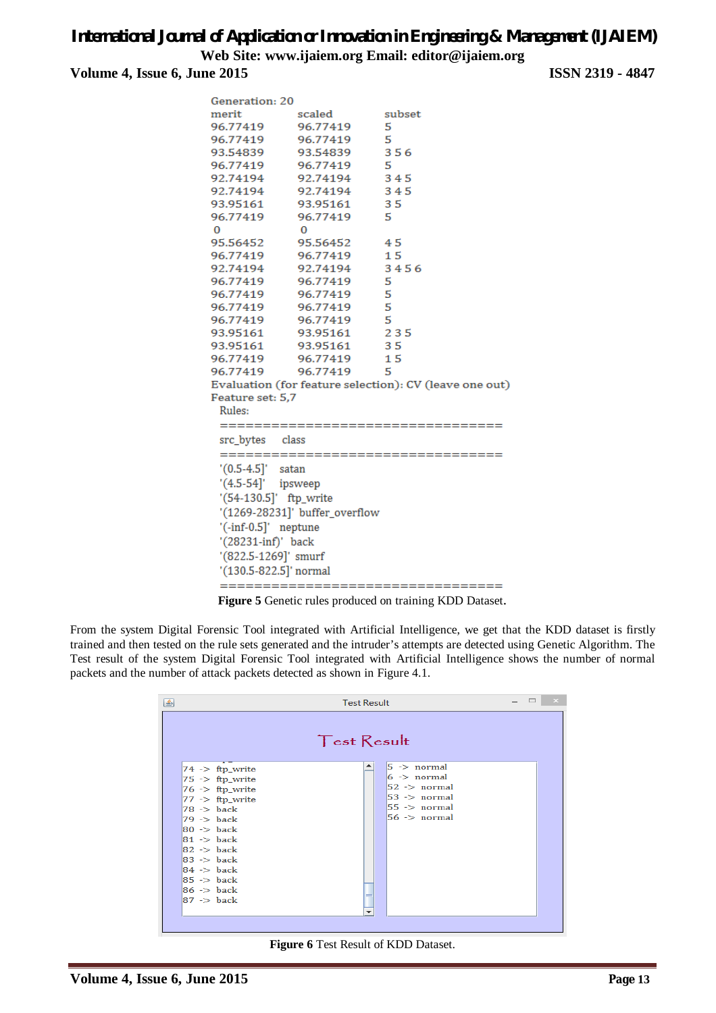**Volume 4, Issue 6, June 2015 ISSN 2319 - 4847**

| Generation: 20         |                                |                                                        |
|------------------------|--------------------------------|--------------------------------------------------------|
| merit                  | scaled                         | subset                                                 |
| 96.77419               | 96.77419                       | 5                                                      |
| 96.77419               | 96.77419                       | 5                                                      |
| 93.54839               | 93.54839                       | 356                                                    |
| 96.77419               | 96.77419                       | 5                                                      |
| 92.74194               | 92.74194                       | 345                                                    |
| 92.74194               | 92.74194                       | 345                                                    |
| 93.95161               | 93.95161                       | 35                                                     |
| 96.77419               | 96.77419                       | -5                                                     |
| $\Omega$               | $\Omega$                       |                                                        |
|                        | 95.56452 95.56452              | 45                                                     |
|                        | 96.77419 96.77419 15           |                                                        |
|                        | 92.74194   92.74194            | 3456                                                   |
|                        | 96.77419 96.77419              | 5                                                      |
|                        | 96.77419 96.77419              | 5                                                      |
|                        | 96.77419 96.77419              | 5                                                      |
|                        | 96.77419 96.77419              | 5                                                      |
| 93.95161               | 93.95161                       | 235                                                    |
| 93.95161               | 93.95161                       | 35                                                     |
| 96.77419               | 96.77419                       | 15                                                     |
|                        | 96.77419 96.77419              | -5                                                     |
|                        |                                | Evaluation (for feature selection): CV (leave one out) |
| Feature set: 5,7       |                                |                                                        |
| Rules:                 |                                |                                                        |
|                        | ============================   |                                                        |
| src_bytes class        |                                |                                                        |
|                        | ==============                 | .                                                      |
| $'(0.5-4.5)'$ satan    |                                |                                                        |
| $'(4.5-54)'$ ipsweep   |                                |                                                        |
| '(54-130.5]' ftp_write |                                |                                                        |
|                        | '(1269-28231]' buffer_overflow |                                                        |
| $'(-inf-0.5)'$ neptune |                                |                                                        |
|                        |                                |                                                        |
| '(28231-inf)' back     |                                |                                                        |
| '(822.5-1269]' smurf   |                                |                                                        |
| '(130.5-822.5]' normal |                                |                                                        |
|                        |                                | ===================================                    |

**Figure 5** Genetic rules produced on training KDD Dataset.

From the system Digital Forensic Tool integrated with Artificial Intelligence, we get that the KDD dataset is firstly trained and then tested on the rule sets generated and the intruder's attempts are detected using Genetic Algorithm. The Test result of the system Digital Forensic Tool integrated with Artificial Intelligence shows the number of normal packets and the number of attack packets detected as shown in Figure 4.1.

| <b>Test Result</b><br>图                                                                                                                                                                                                                                                                                                                                      |                    |                                                                                                                 |  |
|--------------------------------------------------------------------------------------------------------------------------------------------------------------------------------------------------------------------------------------------------------------------------------------------------------------------------------------------------------------|--------------------|-----------------------------------------------------------------------------------------------------------------|--|
|                                                                                                                                                                                                                                                                                                                                                              | <b>Test Result</b> |                                                                                                                 |  |
| $74$ -> ftp_write<br>$ 75 \rangle$ => ftp_write<br>$ 76 \rangle$ -> ftp_write<br>$77 \rightarrow$ ftp_write<br>$78 \rightarrow$ back<br>$79 \rightarrow$ back<br>$80 \rightarrow$ back<br>$81 \rightarrow$ back<br>$82 \Rightarrow$ back<br>$83 \rightarrow$ back<br>$84$ -> back<br>$85 \rightarrow$ back<br>$86 \Rightarrow$ back<br>$87 \Rightarrow$ back |                    | $5$ -> normal<br>$6 \rightarrow$ normal<br>$52$ -> normal<br>$53$ -> normal<br>$55$ -> normal<br>$56$ -> normal |  |
|                                                                                                                                                                                                                                                                                                                                                              | ÷                  |                                                                                                                 |  |

**Figure 6** Test Result of KDD Dataset.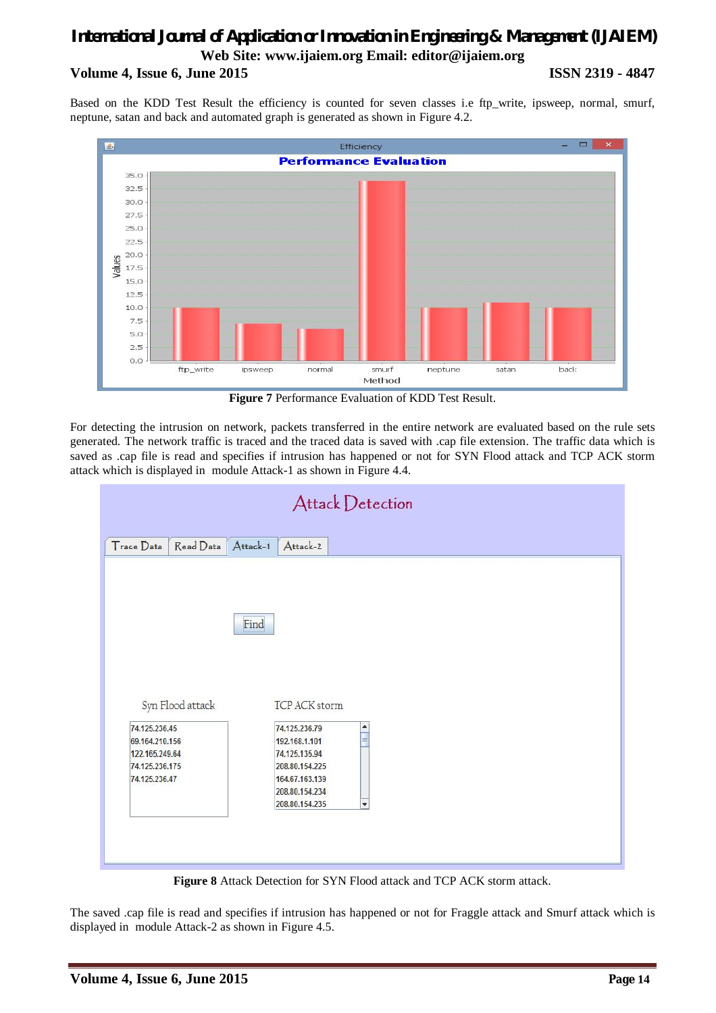# *International Journal of Application or Innovation in Engineering & Management (IJAIEM)* **Web Site: www.ijaiem.org Email: editor@ijaiem.org Volume 4, Issue 6, June 2015 ISSN 2319 - 4847**

Based on the KDD Test Result the efficiency is counted for seven classes i.e ftp\_write, ipsweep, normal, smurf, neptune, satan and back and automated graph is generated as shown in Figure 4.2.



**Figure 7** Performance Evaluation of KDD Test Result.

For detecting the intrusion on network, packets transferred in the entire network are evaluated based on the rule sets generated. The network traffic is traced and the traced data is saved with .cap file extension. The traffic data which is saved as .cap file is read and specifies if intrusion has happened or not for SYN Flood attack and TCP ACK storm attack which is displayed in module Attack-1 as shown in Figure 4.4.



**Figure 8** Attack Detection for SYN Flood attack and TCP ACK storm attack.

The saved .cap file is read and specifies if intrusion has happened or not for Fraggle attack and Smurf attack which is displayed in module Attack-2 as shown in Figure 4.5.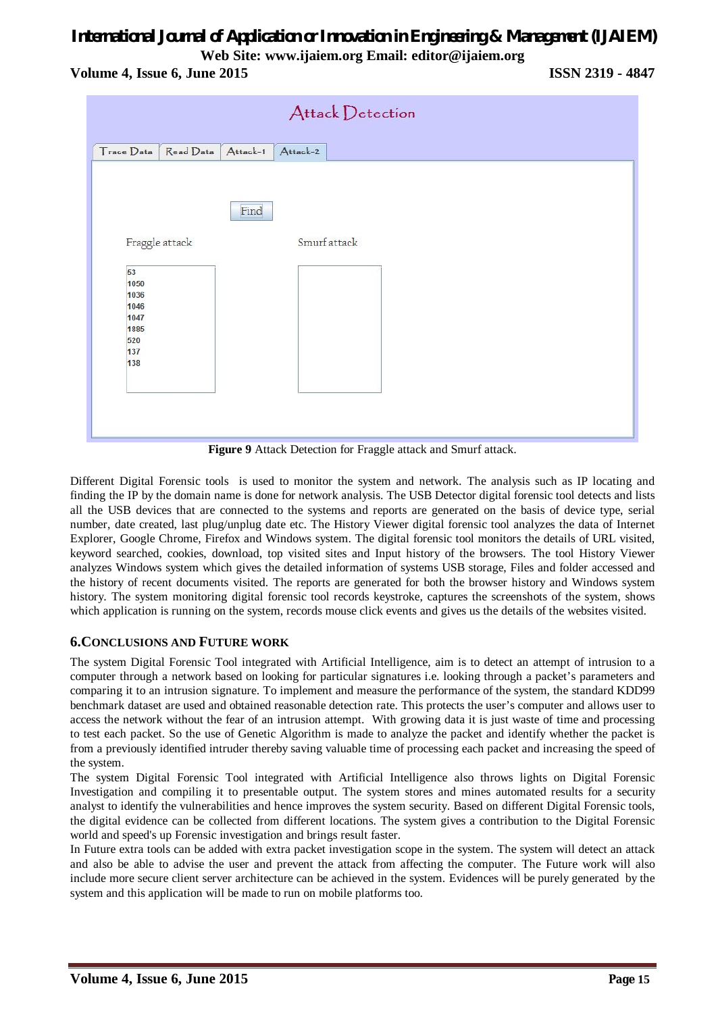**Volume 4, Issue 6, June 2015 ISSN 2319 - 4847**



**Figure 9** Attack Detection for Fraggle attack and Smurf attack.

Different Digital Forensic tools is used to monitor the system and network. The analysis such as IP locating and finding the IP by the domain name is done for network analysis. The USB Detector digital forensic tool detects and lists all the USB devices that are connected to the systems and reports are generated on the basis of device type, serial number, date created, last plug/unplug date etc. The History Viewer digital forensic tool analyzes the data of Internet Explorer, Google Chrome, Firefox and Windows system. The digital forensic tool monitors the details of URL visited, keyword searched, cookies, download, top visited sites and Input history of the browsers. The tool History Viewer analyzes Windows system which gives the detailed information of systems USB storage, Files and folder accessed and the history of recent documents visited. The reports are generated for both the browser history and Windows system history. The system monitoring digital forensic tool records keystroke, captures the screenshots of the system, shows which application is running on the system, records mouse click events and gives us the details of the websites visited.

# **6.CONCLUSIONS AND FUTURE WORK**

The system Digital Forensic Tool integrated with Artificial Intelligence, aim is to detect an attempt of intrusion to a computer through a network based on looking for particular signatures i.e. looking through a packet's parameters and comparing it to an intrusion signature. To implement and measure the performance of the system, the standard KDD99 benchmark dataset are used and obtained reasonable detection rate. This protects the user's computer and allows user to access the network without the fear of an intrusion attempt. With growing data it is just waste of time and processing to test each packet. So the use of Genetic Algorithm is made to analyze the packet and identify whether the packet is from a previously identified intruder thereby saving valuable time of processing each packet and increasing the speed of the system.

The system Digital Forensic Tool integrated with Artificial Intelligence also throws lights on Digital Forensic Investigation and compiling it to presentable output. The system stores and mines automated results for a security analyst to identify the vulnerabilities and hence improves the system security. Based on different Digital Forensic tools, the digital evidence can be collected from different locations. The system gives a contribution to the Digital Forensic world and speed's up Forensic investigation and brings result faster.

In Future extra tools can be added with extra packet investigation scope in the system. The system will detect an attack and also be able to advise the user and prevent the attack from affecting the computer. The Future work will also include more secure client server architecture can be achieved in the system. Evidences will be purely generated by the system and this application will be made to run on mobile platforms too.